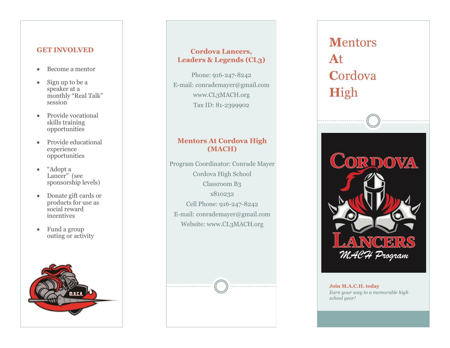## **GET INVOLVED**

- Become a mentor
- Sign up to be a speaker at a monthly "Real Talk" session
- Provide vocational skills training opportunities
- Provide educational experience opportunities
- "Adopt a Lancer" (see sponsorship levels)
- Donate gift cards or products for use as social reward incentives
- Fund a group outing or activity



# **Cordova Lancers, Leaders & Legends (CL3)**

Phone: 916-247-8242 E -mail: conrademayer@gmail.com www.CL3MACH.org Tax ID: 81 -2399902

# **Mentors At Cordova High (MACH)**

Program Coordinator: Conrade Mayer Cordova High School Classroom B3 x810232 Cell Phone: 916 -247 -8242 E -mail: conrademayer@gmail.com Website: www.CL3MACH.org

# **M**entors **A**t **C**ordova **H**igh



#### **Join M.A.C.H. today** *Earn your way to a memorable high school year!*